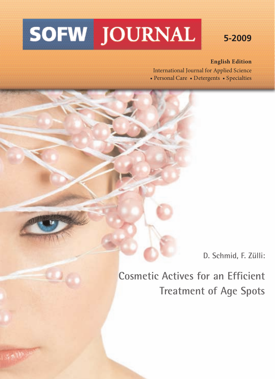# **SOFW JOURNAL**

2, 105 15

# **5-2009**

#### **English Edition**

International Journal for Applied Science • Personal Care • Detergents • Specialties

**D. Schmid, F. Zülli:**

**Cosmetic Actives for an Efficient Treatment of Age Spots**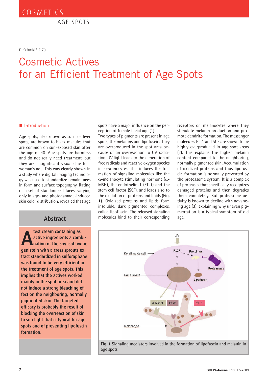AGE SPOTS

D. Schmid*\**, F. Zülli

# Cosmetic Actives for an Efficient Treatment of Age Spots

#### **Introduction**

Age spots, also known as sun- or liver spots, are brown to black macules that are common on sun-exposed skin after the age of 40. Age spots are harmless and do not really need treatment, but they are a significant visual clue to a woman's age. This was clearly shown in a study where digital imaging technology was used to standardize female faces in form and surface topography. Rating of a set of standardized faces, varying only in age- and photodamage-induced skin color distribution, revealed that age

#### **Abstract**

**A** test cream containing as<br>
active ingredients a combi-<br>
nation of the soy isoflavone<br>
genistein with a cress sprouts ex**test cream containing as active ingredients a combination of the soy isoflavone tract standardized in sulforaphane was found to be very efficient in the treatment of age spots. This implies that the actives worked mainly in the spot area and did not induce a strong bleaching effect on the neighboring, normally pigmented skin. The targeted efficacy is probably the result of blocking the overreaction of skin to sun light that is typical for age spots and of preventing lipofuscin formation.**

spots have a major influence on the perception of female facial age (1).

Two types of pigments are present in age spots, the melanins and lipofuscin. They are overproduced in the spot area because of an overreaction to UV radiation. UV light leads to the generation of free radicals and reactive oxygen species in keratinocytes. This induces the formation of signaling molecules like the α-melanocyte stimulating hormone (α-MSH), the endothelin-1 (ET-1) and the stem cell factor (SCF), and leads also to the oxidation of proteins and lipids **(Fig. 1)**. Oxidized proteins and lipids form insoluble, dark pigmented complexes, called lipofuscin. The released signaling molecules bind to their corresponding

receptors on melanocytes where they stimulate melanin production and promote dendrite formation. The messenger molecules ET-1 and SCF are shown to be highly overproduced in age spot areas (2). This explains the higher melanin content compared to the neighboring, normally pigmented skin. Accumulation of oxidized proteins and thus lipofuscin formation is normally prevented by the proteasome system. It is a complex of proteases that specifically recognizes damaged proteins and then degrades them completely. But proteasome activity is known to decline with advancing age (3), explaining why uneven pigmentation is a typical symptom of old age.

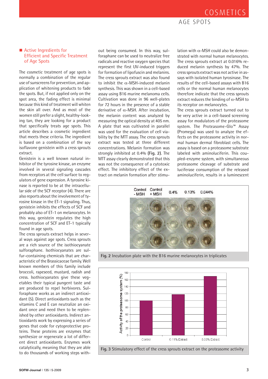## COSMETICS

#### AGE SPOTS

#### **E** Active Ingredients for Efficient and Specific Treatment of Age Spots

The cosmetic treatment of age spots is normally a combination of the regular use of sunscreens for prevention, and application of whitening products to fade the spots. But, if not applied only on the spot area, the fading effect is minimal because this kind of treatment will whiten the skin all over. And as most of the women still prefer a slight, healthy-looking tan, they are looking for a product that specifically treats age spots. This article describes a cosmetic ingredient that meets these criteria. The ingredient is based on a combination of the soy isoflavone genistein with a cress sprouts extract.

Genistein is a well known natural inhibitor of the tyrosine kinase, an enzyme involved in several signaling cascades from receptors at the cell surface to regulators of gene expression. A tyrosine kinase is reported to be at the intracellular side of the SCF receptor (4). There are also reports about the involvement of tyrosine kinase in the ET-1 signaling. Thus, genistein inhibits the effects of SCF and probably also of ET-1 on melanocytes. In this way, genistein regulates the high concentration of SCF and ET-1 typically found in age spots.

The cress sprouts extract helps in several ways against age spots. Cress sprouts are a rich source of the isothiocyanate sulforaphane. Isothiocyanates are sulfur-containing chemicals that are characteristic of the Brassicaceae family. Well known members of this family include broccoli, rapeseed, mustard, radish and cress. Isothiocyanates give these vegetables their typical pungent taste and are produced to repel herbivores. Sulforaphane works as an indirect antioxidant (5). Direct antioxidants such as the vitamins C and E can neutralize an oxidant once and need then to be replenished by other antioxidants. Indirect antioxidants work by expressing a series of genes that code for cytoprotective proteins. These proteins are enzymes that synthesize or regenerate a lot of different direct antioxidants. Enzymes work catalytically, meaning that they are able to do thousands of working steps with-

out being consumed. In this way, sulforaphane can be used to neutralize free radicals and reactive oxygen species that represent the first UV-induced triggers for formation of lipofuscin and melanins. The cress sprouts extract was also found to inhibit the  $\alpha$ -MSH-induced melanin synthesis. This was shown in a cell-based assay using B16 murine melanoma cells. Cultivation was done in 96 well-plates for 72 hours in the presence of a stable derivative of α-MSH. After incubation, the melanin content was analyzed by measuring the optical density at 405 nm. A plate that was cultivated in parallel was used for the evaluation of cell viability by the MTT assay. The cress sprouts extract was tested at three different concentrations. Melanin formation was strongly inhibited at 0.4% **(Fig. 2)**. The MTT assay clearly demonstrated that this was not the consequence of a cytotoxic effect. The inhibitory effect of the extract on melanin formation after stimu-

lation with  $α$ -MSH could also be demonstrated with normal human melanocytes. The cress sprouts extract at 0.016% reduced melanin synthesis by 47%. The cress sprouts extract was not active in assays with isolated human tyrosinase. The results of the cell-based assays with B16 cells or the normal human melanocytes therefore indicate that the cress sprouts extract reduces the binding of  $\alpha$ -MSH to its receptor on melanocytes.

The cress sprouts extract turned out to be very active in a cell-based screening assay for modulators of the proteasome system. The Proteasome-Glo™ Assay (Promega) was used to analyze the effects on the proteasome activity in normal human dermal fibroblast cells. The assay is based on a proteasome substrate labeled with aminoluciferin. This coupled-enzyme system, with simultaneous proteasome cleavage of substrate and luciferase consumption of the released aminoluciferin, results in a luminescent



**Fig. 2** Incubation plate with the B16 murine melanocytes in triplicates